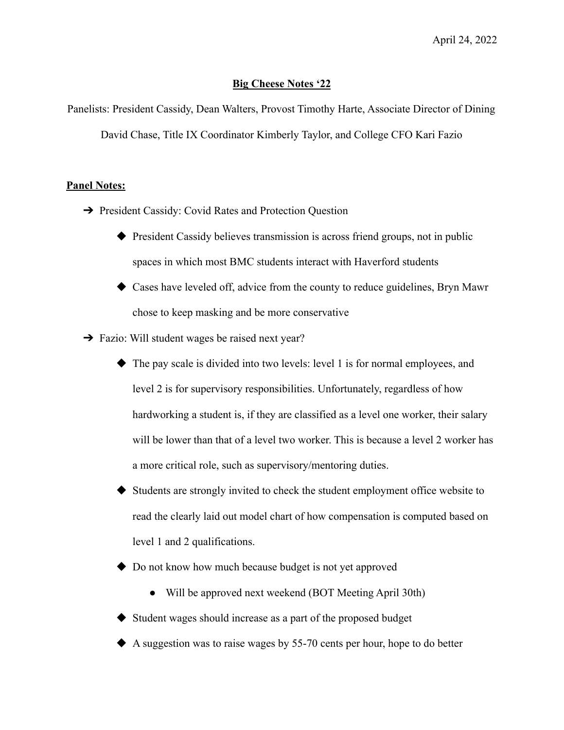## **Big Cheese Notes '22**

Panelists: President Cassidy, Dean Walters, Provost Timothy Harte, Associate Director of Dining David Chase, Title IX Coordinator Kimberly Taylor, and College CFO Kari Fazio

## **Panel Notes:**

- **→** President Cassidy: Covid Rates and Protection Ouestion
	- ◆ President Cassidy believes transmission is across friend groups, not in public spaces in which most BMC students interact with Haverford students
	- ◆ Cases have leveled off, advice from the county to reduce guidelines, Bryn Mawr chose to keep masking and be more conservative
- **→** Fazio: Will student wages be raised next year?
	- ◆ The pay scale is divided into two levels: level 1 is for normal employees, and level 2 is for supervisory responsibilities. Unfortunately, regardless of how hardworking a student is, if they are classified as a level one worker, their salary will be lower than that of a level two worker. This is because a level 2 worker has a more critical role, such as supervisory/mentoring duties.
	- ◆ Students are strongly invited to check the student employment office website to read the clearly laid out model chart of how compensation is computed based on level 1 and 2 qualifications.
	- ◆ Do not know how much because budget is not yet approved
		- Will be approved next weekend (BOT Meeting April 30th)
	- ◆ Student wages should increase as a part of the proposed budget
	- ◆ A suggestion was to raise wages by 55-70 cents per hour, hope to do better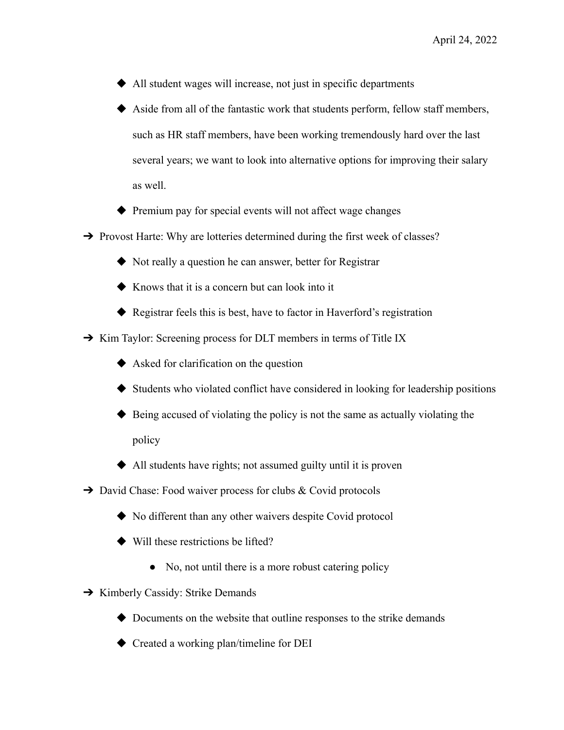- ◆ All student wages will increase, not just in specific departments
- ◆ Aside from all of the fantastic work that students perform, fellow staff members, such as HR staff members, have been working tremendously hard over the last several years; we want to look into alternative options for improving their salary as well.
- ◆ Premium pay for special events will not affect wage changes
- ➔ Provost Harte: Why are lotteries determined during the first week of classes?
	- ◆ Not really a question he can answer, better for Registrar
	- ◆ Knows that it is a concern but can look into it
	- ◆ Registrar feels this is best, have to factor in Haverford's registration
- → Kim Taylor: Screening process for DLT members in terms of Title IX
	- ◆ Asked for clarification on the question
	- ◆ Students who violated conflict have considered in looking for leadership positions
	- ◆ Being accused of violating the policy is not the same as actually violating the policy
	- ◆ All students have rights; not assumed guilty until it is proven
- ➔ David Chase: Food waiver process for clubs & Covid protocols
	- ◆ No different than any other waivers despite Covid protocol
	- ◆ Will these restrictions be lifted?
		- No, not until there is a more robust catering policy
- **→** Kimberly Cassidy: Strike Demands
	- ◆ Documents on the website that outline responses to the strike demands
	- ◆ Created a working plan/timeline for DEI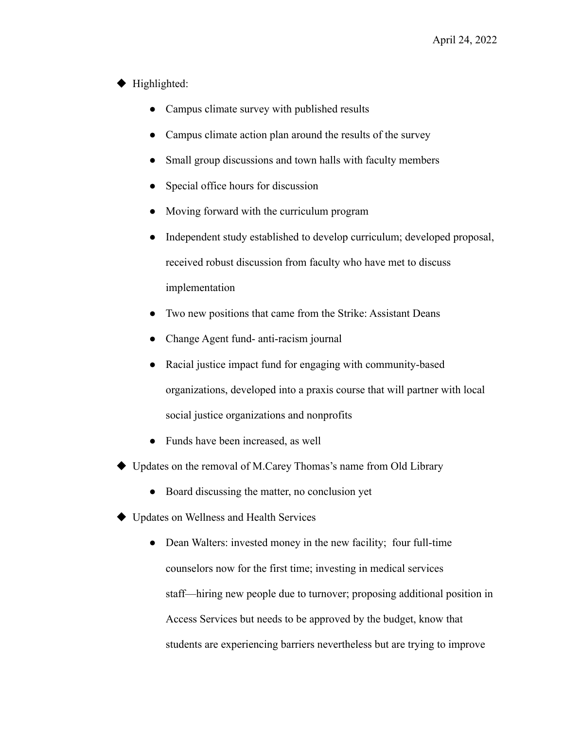## ◆ Highlighted:

- Campus climate survey with published results
- Campus climate action plan around the results of the survey
- Small group discussions and town halls with faculty members
- Special office hours for discussion
- Moving forward with the curriculum program
- Independent study established to develop curriculum; developed proposal, received robust discussion from faculty who have met to discuss implementation
- Two new positions that came from the Strike: Assistant Deans
- Change Agent fund- anti-racism journal
- Racial justice impact fund for engaging with community-based organizations, developed into a praxis course that will partner with local social justice organizations and nonprofits
- Funds have been increased, as well
- ◆ Updates on the removal of M.Carey Thomas's name from Old Library
	- Board discussing the matter, no conclusion yet
- ◆ Updates on Wellness and Health Services
	- Dean Walters: invested money in the new facility; four full-time counselors now for the first time; investing in medical services staff—hiring new people due to turnover; proposing additional position in Access Services but needs to be approved by the budget, know that students are experiencing barriers nevertheless but are trying to improve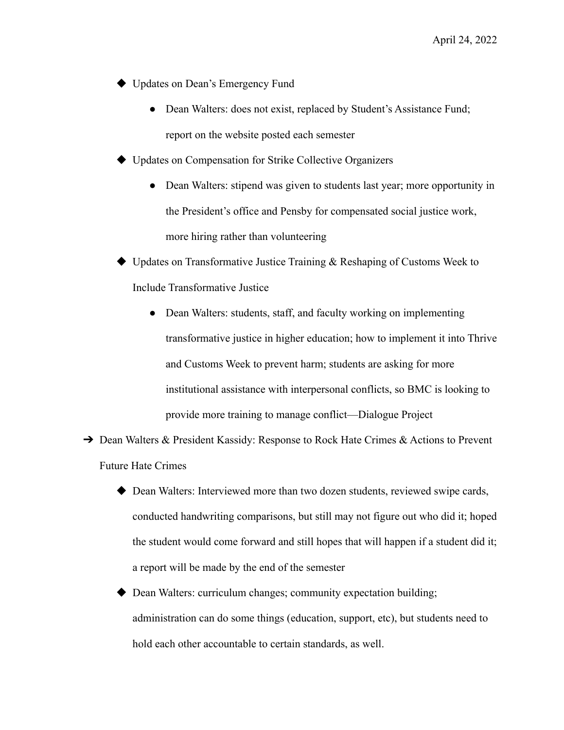- ◆ Updates on Dean's Emergency Fund
	- Dean Walters: does not exist, replaced by Student's Assistance Fund; report on the website posted each semester
- ◆ Updates on Compensation for Strike Collective Organizers
	- Dean Walters: stipend was given to students last year; more opportunity in the President's office and Pensby for compensated social justice work, more hiring rather than volunteering
- $\rightarrow$  Updates on Transformative Justice Training  $\&$  Reshaping of Customs Week to Include Transformative Justice
	- Dean Walters: students, staff, and faculty working on implementing transformative justice in higher education; how to implement it into Thrive and Customs Week to prevent harm; students are asking for more institutional assistance with interpersonal conflicts, so BMC is looking to provide more training to manage conflict—Dialogue Project
- **→** Dean Walters & President Kassidy: Response to Rock Hate Crimes & Actions to Prevent Future Hate Crimes
	- ◆ Dean Walters: Interviewed more than two dozen students, reviewed swipe cards, conducted handwriting comparisons, but still may not figure out who did it; hoped the student would come forward and still hopes that will happen if a student did it; a report will be made by the end of the semester
	- ◆ Dean Walters: curriculum changes; community expectation building; administration can do some things (education, support, etc), but students need to hold each other accountable to certain standards, as well.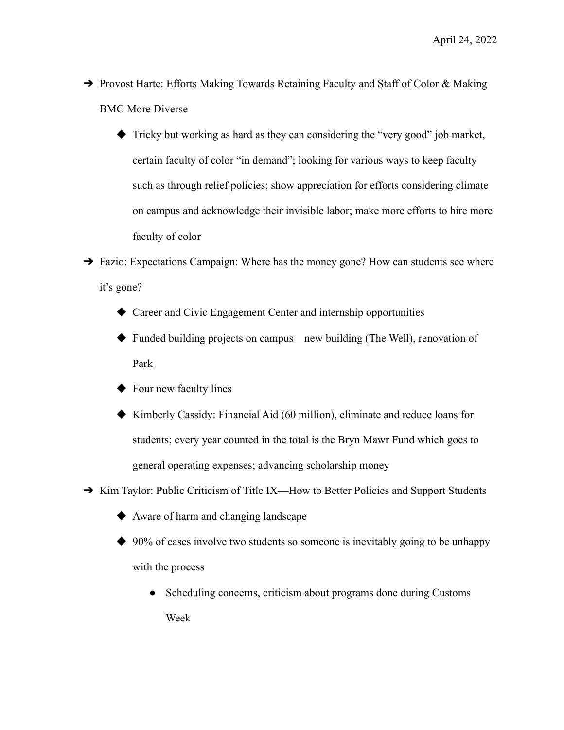- → Provost Harte: Efforts Making Towards Retaining Faculty and Staff of Color & Making BMC More Diverse
	- ◆ Tricky but working as hard as they can considering the "very good" job market, certain faculty of color "in demand"; looking for various ways to keep faculty such as through relief policies; show appreciation for efforts considering climate on campus and acknowledge their invisible labor; make more efforts to hire more faculty of color
- → Fazio: Expectations Campaign: Where has the money gone? How can students see where it's gone?
	- ◆ Career and Civic Engagement Center and internship opportunities
	- ◆ Funded building projects on campus—new building (The Well), renovation of Park
	- ◆ Four new faculty lines
	- ◆ Kimberly Cassidy: Financial Aid (60 million), eliminate and reduce loans for students; every year counted in the total is the Bryn Mawr Fund which goes to general operating expenses; advancing scholarship money
- → Kim Taylor: Public Criticism of Title IX—How to Better Policies and Support Students
	- ◆ Aware of harm and changing landscape
	- ◆ 90% of cases involve two students so someone is inevitably going to be unhappy with the process
		- Scheduling concerns, criticism about programs done during Customs Week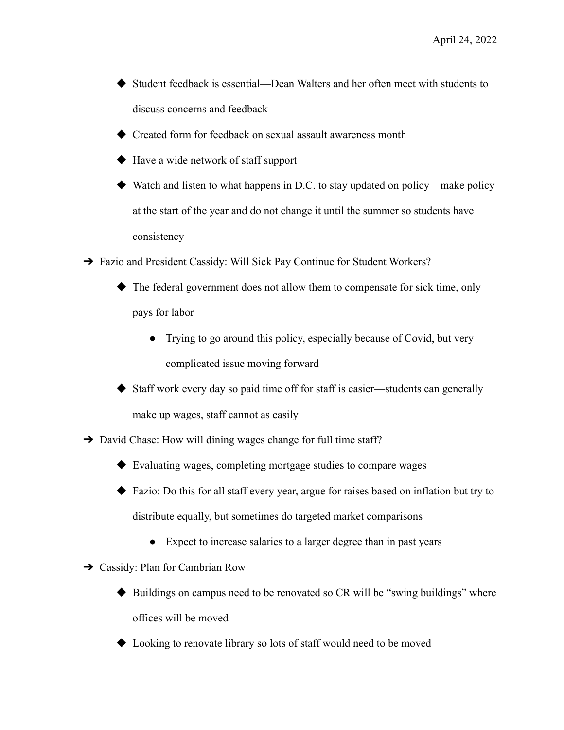- ◆ Student feedback is essential—Dean Walters and her often meet with students to discuss concerns and feedback
- ◆ Created form for feedback on sexual assault awareness month
- ◆ Have a wide network of staff support
- $\blacklozenge$  Watch and listen to what happens in D.C. to stay updated on policy—make policy at the start of the year and do not change it until the summer so students have consistency
- → Fazio and President Cassidy: Will Sick Pay Continue for Student Workers?
	- ◆ The federal government does not allow them to compensate for sick time, only pays for labor
		- Trying to go around this policy, especially because of Covid, but very complicated issue moving forward
	- ◆ Staff work every day so paid time off for staff is easier—students can generally make up wages, staff cannot as easily
- **→** David Chase: How will dining wages change for full time staff?
	- ◆ Evaluating wages, completing mortgage studies to compare wages
	- ◆ Fazio: Do this for all staff every year, argue for raises based on inflation but try to distribute equally, but sometimes do targeted market comparisons
		- Expect to increase salaries to a larger degree than in past years
- ➔ Cassidy: Plan for Cambrian Row
	- ◆ Buildings on campus need to be renovated so CR will be "swing buildings" where offices will be moved
	- ◆ Looking to renovate library so lots of staff would need to be moved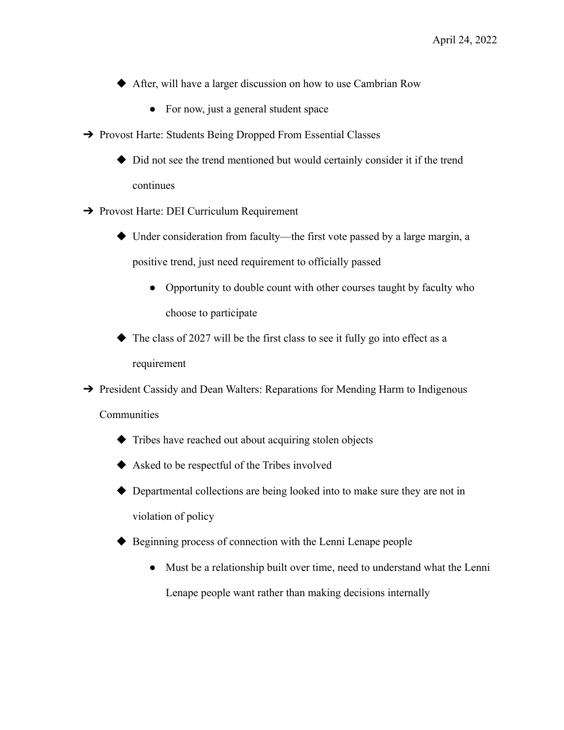◆ After, will have a larger discussion on how to use Cambrian Row

- For now, just a general student space
- ➔ Provost Harte: Students Being Dropped From Essential Classes
	- ◆ Did not see the trend mentioned but would certainly consider it if the trend continues
- **→** Provost Harte: DEI Curriculum Requirement
	- ◆ Under consideration from faculty—the first vote passed by a large margin, a positive trend, just need requirement to officially passed
		- Opportunity to double count with other courses taught by faculty who choose to participate
	- The class of 2027 will be the first class to see it fully go into effect as a requirement

**→** President Cassidy and Dean Walters: Reparations for Mending Harm to Indigenous **Communities** 

- ◆ Tribes have reached out about acquiring stolen objects
- ◆ Asked to be respectful of the Tribes involved
- ◆ Departmental collections are being looked into to make sure they are not in violation of policy
- ◆ Beginning process of connection with the Lenni Lenape people
	- Must be a relationship built over time, need to understand what the Lenni Lenape people want rather than making decisions internally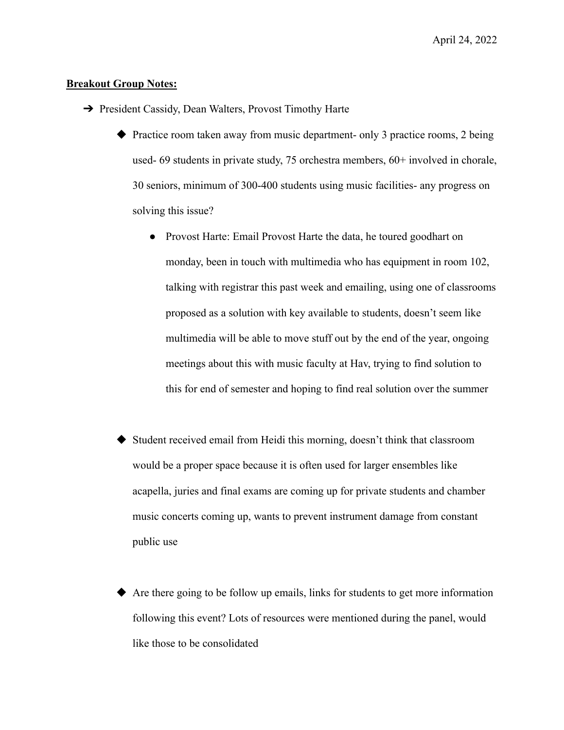## **Breakout Group Notes:**

- **→** President Cassidy, Dean Walters, Provost Timothy Harte
	- ◆ Practice room taken away from music department- only 3 practice rooms, 2 being used- 69 students in private study, 75 orchestra members, 60+ involved in chorale, 30 seniors, minimum of 300-400 students using music facilities- any progress on solving this issue?
		- Provost Harte: Email Provost Harte the data, he toured goodhart on monday, been in touch with multimedia who has equipment in room 102, talking with registrar this past week and emailing, using one of classrooms proposed as a solution with key available to students, doesn't seem like multimedia will be able to move stuff out by the end of the year, ongoing meetings about this with music faculty at Hav, trying to find solution to this for end of semester and hoping to find real solution over the summer
	- Student received email from Heidi this morning, doesn't think that classroom would be a proper space because it is often used for larger ensembles like acapella, juries and final exams are coming up for private students and chamber music concerts coming up, wants to prevent instrument damage from constant public use
	- ◆ Are there going to be follow up emails, links for students to get more information following this event? Lots of resources were mentioned during the panel, would like those to be consolidated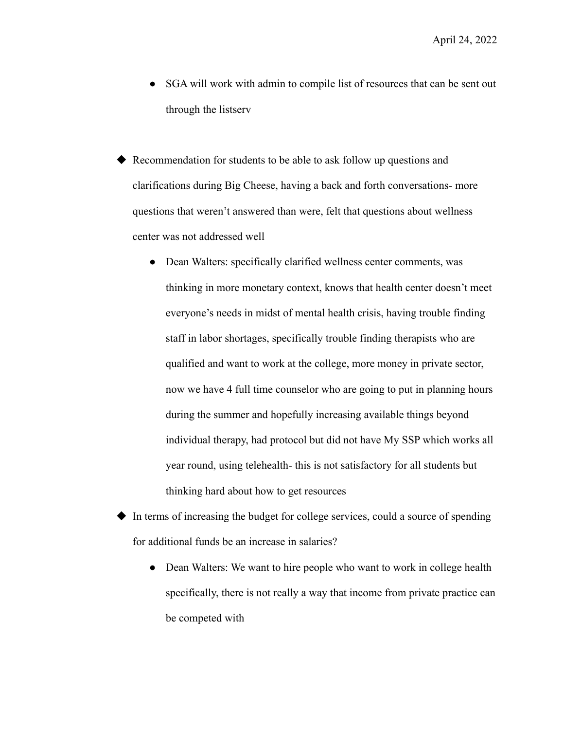- SGA will work with admin to compile list of resources that can be sent out through the listserv
- ◆ Recommendation for students to be able to ask follow up questions and clarifications during Big Cheese, having a back and forth conversations- more questions that weren't answered than were, felt that questions about wellness center was not addressed well
	- Dean Walters: specifically clarified wellness center comments, was thinking in more monetary context, knows that health center doesn't meet everyone's needs in midst of mental health crisis, having trouble finding staff in labor shortages, specifically trouble finding therapists who are qualified and want to work at the college, more money in private sector, now we have 4 full time counselor who are going to put in planning hours during the summer and hopefully increasing available things beyond individual therapy, had protocol but did not have My SSP which works all year round, using telehealth- this is not satisfactory for all students but thinking hard about how to get resources
- ◆ In terms of increasing the budget for college services, could a source of spending for additional funds be an increase in salaries?
	- Dean Walters: We want to hire people who want to work in college health specifically, there is not really a way that income from private practice can be competed with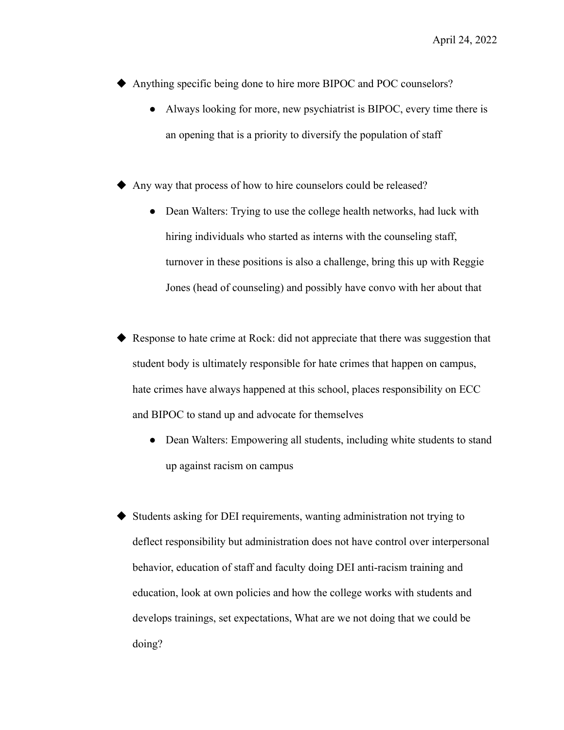April 24, 2022

- ◆ Anything specific being done to hire more BIPOC and POC counselors?
	- Always looking for more, new psychiatrist is BIPOC, every time there is an opening that is a priority to diversify the population of staff
- Any way that process of how to hire counselors could be released?
	- Dean Walters: Trying to use the college health networks, had luck with hiring individuals who started as interns with the counseling staff, turnover in these positions is also a challenge, bring this up with Reggie Jones (head of counseling) and possibly have convo with her about that
- Response to hate crime at Rock: did not appreciate that there was suggestion that student body is ultimately responsible for hate crimes that happen on campus, hate crimes have always happened at this school, places responsibility on ECC and BIPOC to stand up and advocate for themselves
	- Dean Walters: Empowering all students, including white students to stand up against racism on campus
- Students asking for DEI requirements, wanting administration not trying to deflect responsibility but administration does not have control over interpersonal behavior, education of staff and faculty doing DEI anti-racism training and education, look at own policies and how the college works with students and develops trainings, set expectations, What are we not doing that we could be doing?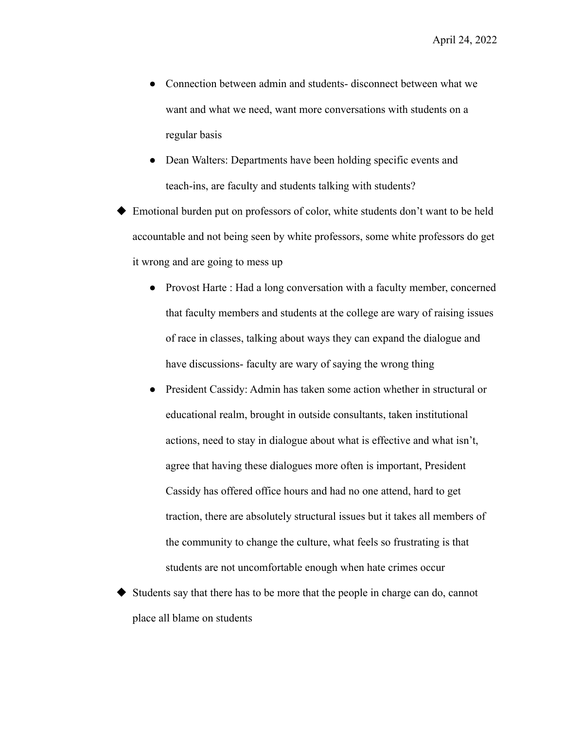- Connection between admin and students-disconnect between what we want and what we need, want more conversations with students on a regular basis
- Dean Walters: Departments have been holding specific events and teach-ins, are faculty and students talking with students?

Emotional burden put on professors of color, white students don't want to be held accountable and not being seen by white professors, some white professors do get it wrong and are going to mess up

- Provost Harte : Had a long conversation with a faculty member, concerned that faculty members and students at the college are wary of raising issues of race in classes, talking about ways they can expand the dialogue and have discussions- faculty are wary of saying the wrong thing
- President Cassidy: Admin has taken some action whether in structural or educational realm, brought in outside consultants, taken institutional actions, need to stay in dialogue about what is effective and what isn't, agree that having these dialogues more often is important, President Cassidy has offered office hours and had no one attend, hard to get traction, there are absolutely structural issues but it takes all members of the community to change the culture, what feels so frustrating is that students are not uncomfortable enough when hate crimes occur

Students say that there has to be more that the people in charge can do, cannot place all blame on students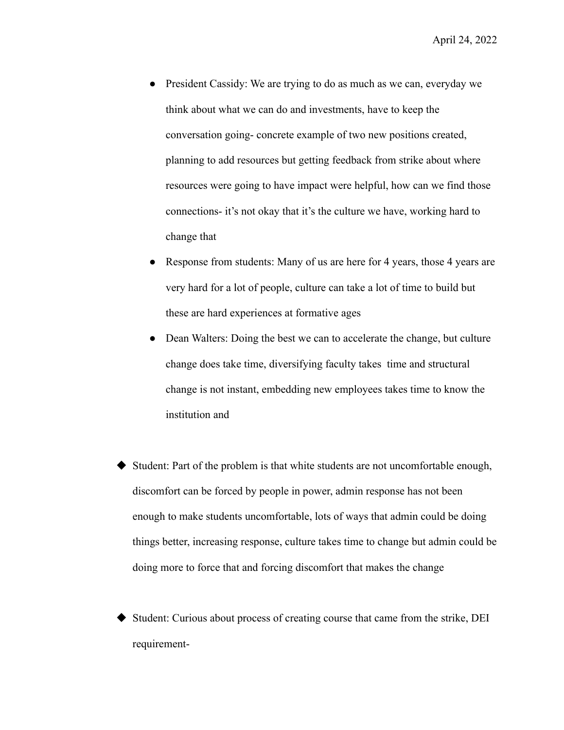- President Cassidy: We are trying to do as much as we can, everyday we think about what we can do and investments, have to keep the conversation going- concrete example of two new positions created, planning to add resources but getting feedback from strike about where resources were going to have impact were helpful, how can we find those connections- it's not okay that it's the culture we have, working hard to change that
- Response from students: Many of us are here for 4 years, those 4 years are very hard for a lot of people, culture can take a lot of time to build but these are hard experiences at formative ages
- Dean Walters: Doing the best we can to accelerate the change, but culture change does take time, diversifying faculty takes time and structural change is not instant, embedding new employees takes time to know the institution and
- ◆ Student: Part of the problem is that white students are not uncomfortable enough, discomfort can be forced by people in power, admin response has not been enough to make students uncomfortable, lots of ways that admin could be doing things better, increasing response, culture takes time to change but admin could be doing more to force that and forcing discomfort that makes the change
- ◆ Student: Curious about process of creating course that came from the strike, DEI requirement-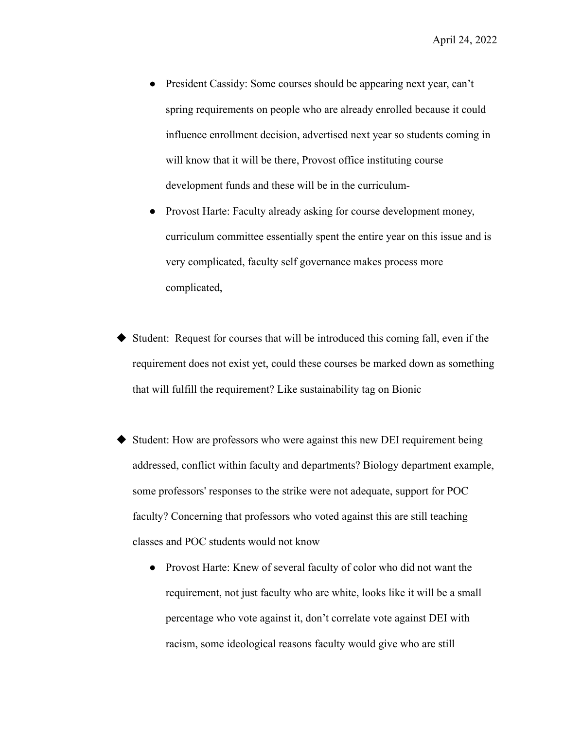- President Cassidy: Some courses should be appearing next year, can't spring requirements on people who are already enrolled because it could influence enrollment decision, advertised next year so students coming in will know that it will be there, Provost office instituting course development funds and these will be in the curriculum-
- Provost Harte: Faculty already asking for course development money, curriculum committee essentially spent the entire year on this issue and is very complicated, faculty self governance makes process more complicated,
- Student: Request for courses that will be introduced this coming fall, even if the requirement does not exist yet, could these courses be marked down as something that will fulfill the requirement? Like sustainability tag on Bionic
- Student: How are professors who were against this new DEI requirement being addressed, conflict within faculty and departments? Biology department example, some professors' responses to the strike were not adequate, support for POC faculty? Concerning that professors who voted against this are still teaching classes and POC students would not know
	- Provost Harte: Knew of several faculty of color who did not want the requirement, not just faculty who are white, looks like it will be a small percentage who vote against it, don't correlate vote against DEI with racism, some ideological reasons faculty would give who are still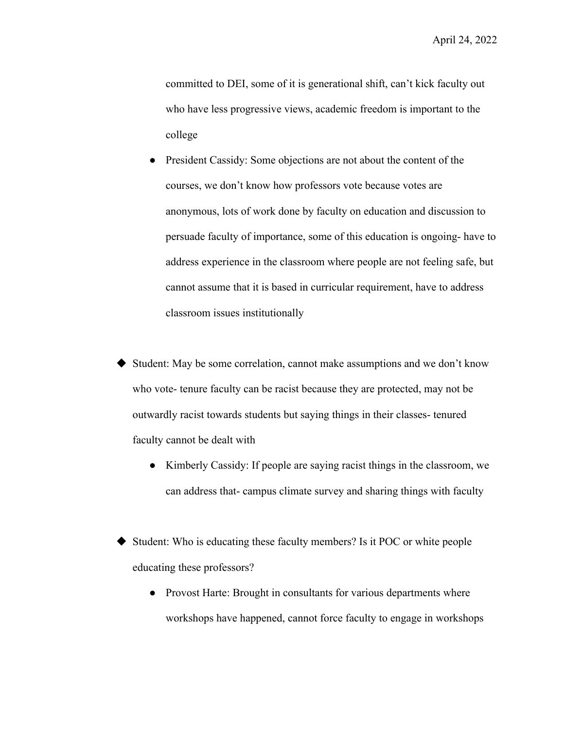April 24, 2022

committed to DEI, some of it is generational shift, can't kick faculty out who have less progressive views, academic freedom is important to the college

- President Cassidy: Some objections are not about the content of the courses, we don't know how professors vote because votes are anonymous, lots of work done by faculty on education and discussion to persuade faculty of importance, some of this education is ongoing- have to address experience in the classroom where people are not feeling safe, but cannot assume that it is based in curricular requirement, have to address classroom issues institutionally
- ◆ Student: May be some correlation, cannot make assumptions and we don't know who vote- tenure faculty can be racist because they are protected, may not be outwardly racist towards students but saying things in their classes- tenured faculty cannot be dealt with
	- Kimberly Cassidy: If people are saying racist things in the classroom, we can address that- campus climate survey and sharing things with faculty
- Student: Who is educating these faculty members? Is it POC or white people educating these professors?
	- Provost Harte: Brought in consultants for various departments where workshops have happened, cannot force faculty to engage in workshops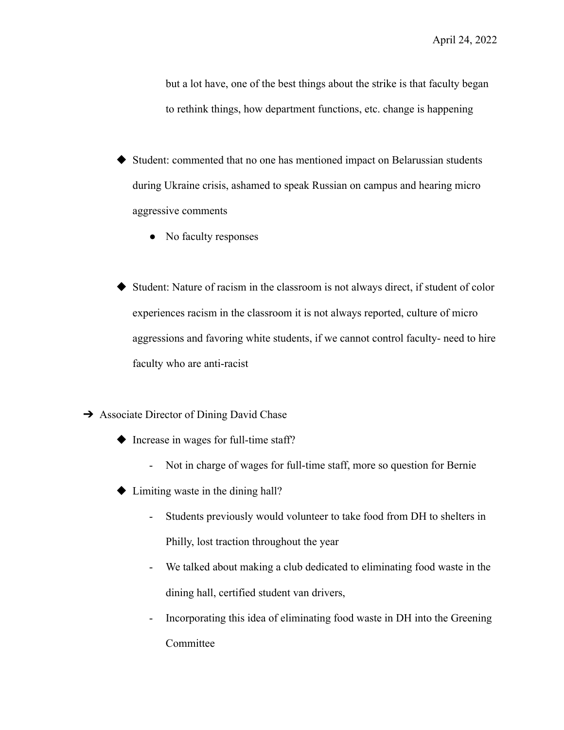but a lot have, one of the best things about the strike is that faculty began to rethink things, how department functions, etc. change is happening

- ◆ Student: commented that no one has mentioned impact on Belarussian students during Ukraine crisis, ashamed to speak Russian on campus and hearing micro aggressive comments
	- No faculty responses
- ◆ Student: Nature of racism in the classroom is not always direct, if student of color experiences racism in the classroom it is not always reported, culture of micro aggressions and favoring white students, if we cannot control faculty- need to hire faculty who are anti-racist
- **→** Associate Director of Dining David Chase
	- ◆ Increase in wages for full-time staff?
		- Not in charge of wages for full-time staff, more so question for Bernie
	- $\blacktriangleright$  Limiting waste in the dining hall?
		- Students previously would volunteer to take food from DH to shelters in Philly, lost traction throughout the year
		- We talked about making a club dedicated to eliminating food waste in the dining hall, certified student van drivers,
		- Incorporating this idea of eliminating food waste in DH into the Greening Committee